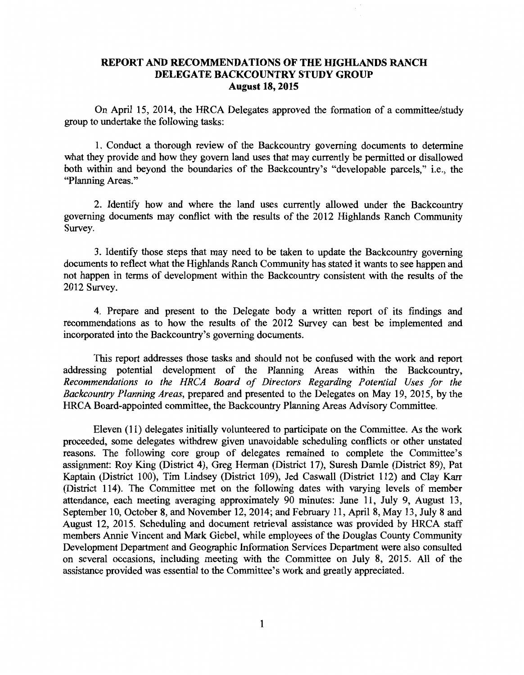## **REPORT AND RECOMMENDATIONS OF THE HIGHLANDS RANCH DELEGATE BACKCOUNTRY STUDY GROUP August 18, 2015**

On April 15, 2014, the HRCA Delegates approved the formation of a committee/study group to undertake the following tasks:

1. Conduct a thorough review of the Backcountry governing documents to determine what they provide and how they govern land uses that may currently be permitted or disallowed both within and beyond the boundaries of the Backcountry's "developable parcels," i.e., the "Planning Areas."

2. Identify how and where the land uses currently allowed under the Backcountry governing documents may conflict with the results of the 2012 Highlands Ranch Community Survey.

3. Identify those steps that may need to be taken to update the Backcountry governing documents to reflect what the Highlands Ranch Community has stated it wants to see happen and not happen in terms of development within the Backcountry consistent with the results of the 2012 Survey.

4. Prepare and present to the Delegate body a written report of its findings and recommendations as to how the results of the 2012 Survey can best be implemented and incorporated into the Backcountry's governing documents.

This report addresses those tasks and should not be confused with the work and report addressing potential development of the Planning Areas within the Backcountry, *Recommendations to the HRCA Board of Directors Regarding Potential Uses for the Backcountry Planning Areas,* prepared and presented to the Delegates on May 19, 2015, by the HRCA Board-appointed committee, the Backcountry Planning Areas Advisory Committee.

Eleven (11) delegates initially volunteered to participate on the Committee. As the work proceeded, some delegates withdrew given unavoidable scheduling conflicts or other unstated reasons. The following core group of delegates remained to complete the Committee's assignment: Roy King (District 4), Greg Herman (District 17), Suresh Damle (District 89), Pat Kaptain (District 100), Tim Lindsey (District 109), Jed Caswall (District 112) and Clay Karr (District 114). The Committee met on the following dates with varying levels of member attendance, each meeting averaging approximately 90 minutes: June 11, July 9, August 13, September 10, October 8, and November 12, 2014; and February 11, April 8, May 13, July 8 and August 12, 2015. Scheduling and document retrieval assistance was provided by HRCA staff members Annie Vincent and Mark Giebel, while employees of the Douglas County Community Development Department and Geographic Information Services Department were also consulted on several occasions, including meeting with the Committee on July 8, 2015. All of the assistance provided was essential to the Committee's work and greatly appreciated.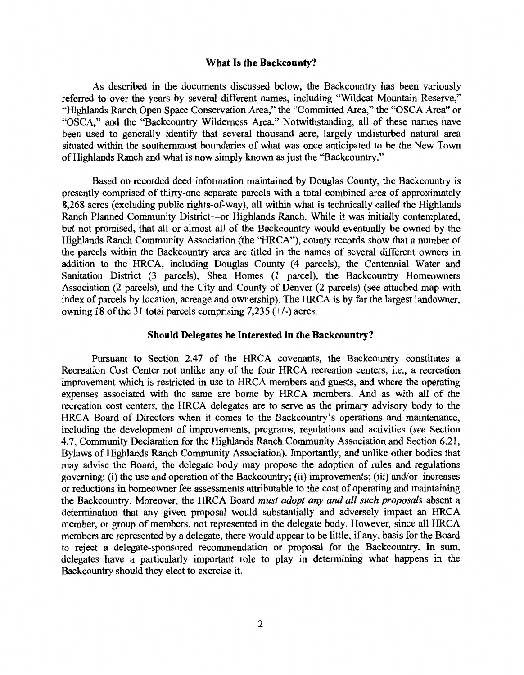### **What Is the Backcounty?**

As described in the documents discussed below, the Backcountry has been variously referred to over the years by several different names, including "Wildcat Mountain Reserve," "Highlands Ranch Open Space Conservation Area," the "Committed Area," the "OSCA Area" or "OSCA," and the "Backcountry Wilderness Area." Notwithstanding, all of these names have been used to generally identify that several thousand acre, largely undisturbed natural area situated within the southernmost boundaries of what was once anticipated to be the New Town of Highlands Ranch and what is now simply known as just the "Backcountry."

Based on recorded deed information maintained by Douglas County, the Backcountry is presently comprised of thirty-one separate parcels with a total combined area of approximately 8,268 acres (excluding public rights-of-way), all within what is technically called the Highlands Ranch Planned Community District--or Highlands Ranch. While it was initially contemplated, but not promised, that all or almost all of the Backcountry would eventually be owned by the Highlands Ranch Community Association (the "HRCA"), county records show that a number of the parcels within the Backcountry area are titled in the names of several different owners in addition to the HRCA, including Douglas County (4 parcels), the Centennial Water and Sanitation District (3 parcels), Shea Homes (1 parcel), the Backcountry Homeowners Association (2 parcels), and the City and County of Denver (2 parcels) (see attached map with index of parcels by location, acreage and ownership). The HRCA is by far the largest landowner, owning 18 of the 31 total parcels comprising  $7,235$  (+/-) acres.

### **Should Delegates be Interested in the Backcountry?**

Pursuant to Section 2.47 of the HRCA covenants, the Backcountry constitutes a Recreation Cost Center not unlike any of the four HRCA recreation centers, i.e., a recreation improvement which is restricted in use to HRCA members and guests, and where the operating expenses associated with the same are borne by HRCA members. And as with all of the recreation cost centers, the HRCA delegates are to serve as the primary advisory body to the HRCA Board of Directors when it comes to the Backcountry's operations and maintenance, including the development of improvements, programs, regulations and activities *(see* Section 4.7, Community Declaration for the Highlands Ranch Community Association and Section 6.21, Bylaws of Highlands Ranch Community Association). Importantly, and unlike other bodies that may advise the Board, the delegate body may propose the adoption of rules and regulations governing: (i) the use and operation of the Backcountry; (ii) improvements; (iii) and/or increases or reductions in homeowner fee assessments attributable to the cost of operating and maintaining the Backcountry. Moreover, the HRCA Board *must adopt any and all such proposals* absent a determination that any given proposal would substantially and adversely impact an HRCA member, or group of members, not represented in the delegate body. However, since all HRCA members are represented by a delegate, there would appear to be little, if any, basis for the Board to reject a delegate-sponsored recommendation or proposal for the Backcountry. In sum, delegates have a particularly important role to play in determining what happens in the Backcountry should they elect to exercise it.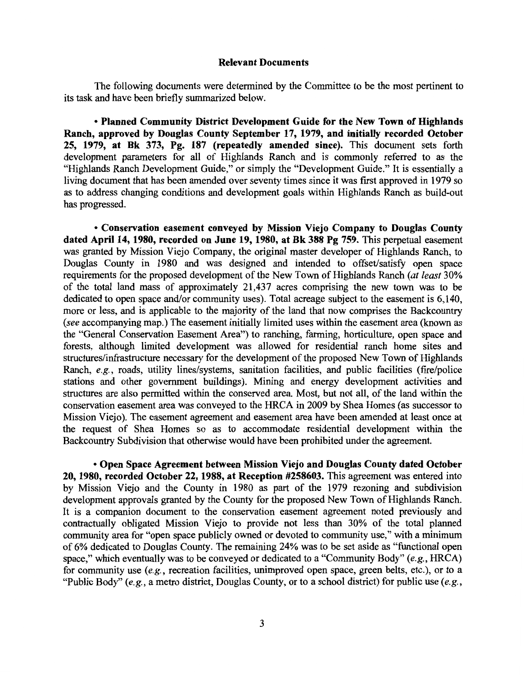#### **Relevant Documents**

The following documents were determined by the Committee to be the most pertinent to its task and have been briefly summarized below.

• **Planned Community District Development Guide for the New Town of Highlands Ranch, approved by Douglas County September 17, 1979, and initially recorded October 25, 1979, at Bk 373, Pg. 187 (repeatedly amended since).** This document sets forth development parameters for all of Highlands Ranch and is commonly referred to as the "Highlands Ranch Development Guide," or simply the "Development Guide." It is essentially a living document that has been amended over seventy times since it was first approved in 1979 so as to address changing conditions and development goals within Highlands Ranch as build-out has progressed.

• **Conservation easement conveyed by Mission Viejo Company to Douglas County dated April 14, 1980, recorded on June 19, 1980, at Bk 388 Pg 759.** This perpetual easement was granted by Mission Viejo Company, the original master developer of Highlands Ranch, to Douglas County in 1980 and was designed and intended to offset/satisfy open space requirements for the proposed development of the New Town of Highlands Ranch *(at least* 30% of the total land mass of approximately 21,437 acres comprising the new town was to be dedicated to open space and/or community uses). Total acreage subject to the easement is 6,140, more or less, and is applicable to the majority of the land that now comprises the Backcountry *(see* accompanying map.) The easement initially limited uses within the easement area (known as the "General Conservation Easement Area") to ranching, farming, horticulture, open space and forests, although limited development was allowed for residential ranch home sites and structures/infrastructure necessary for the development of the proposed New Town of Highlands Ranch, *e.g.,* roads, utility lines/systems, sanitation facilities, and public facilities (fire/police stations and other government buildings). Mining and energy development activities and structures are also permitted within the conserved area. Most, but not all, of the land within the conservation easement area was conveyed to the HRCA in 2009 by Shea Homes (as successor to Mission Viejo). The easement agreement and easement area have been amended at least once at the request of Shea Homes so as to accommodate residential development within the Backcountry Subdivision that otherwise would have been prohibited under the agreement.

• **Open Space Agreement between Mission Viejo and Douglas County dated October 20, 1980, recorded October 22, 1988, at Reception #258603.** This agreement was entered into by Mission Viejo and the County in 1980 as part of the 1979 rezoning and subdivision development approvals granted by the County for the proposed New Town of Highlands Ranch. It is a companion document to the conservation easement agreement noted previously and contractually obligated Mission Viejo to provide not less than 30% of the total planned community area for "open space publicly owned or devoted to community use," with a minimum of 6% dedicated to Douglas County. The remaining 24% was to be set aside as "functional open space," which eventually was to be conveyed or dedicated to a "Community Body" *(e.g.,* HRCA) for community use *(e.g.,* recreation facilities, unimproved open space, green belts, etc.), or to a "Public Body" *(e.g.,* a metro district, Douglas County, or to a school district) for public use *(e.g.,*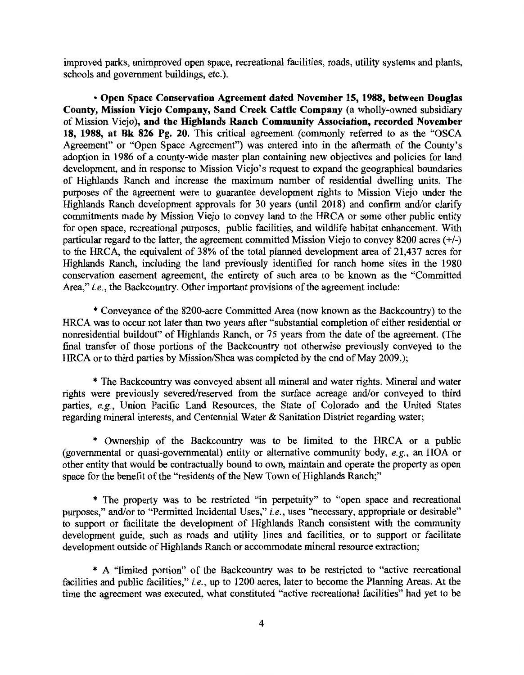improved parks, unimproved open space, recreational facilities, roads, utility systems and plants, schools and government buildings, etc.).

**•Open Space Conservation Agreement dated November 15, 1988, between Douglas County, Mission Viejo Company, Sand Creek Cattle Company** (a wholly-owned subsidiary of Mission Viejo), **and the Highlands Ranch Community Association, recorded November 18, 1988, at Bk 826 Pg. 20.** This critical agreement (commonly referred to as the "OSCA Agreement" or "Open Space Agreement") was entered into in the aftermath of the County's adoption in 1986 of a county-wide master plan containing new objectives and policies for land development, and in response to Mission Viejo's request to expand the geographical boundaries of Highlands Ranch and increase the maximum number of residential dwelling units. The purposes of the agreement were to guarantee development rights to Mission Viejo under the Highlands Ranch development approvals for 30 years (until 2018) and confirm and/or clarify commitments made by Mission Viejo to convey land to the HRCA or some other public entity for open space, recreational purposes, public facilities, and wildlife habitat enhancement. With particular regard to the latter, the agreement committed Mission Viejo to convey 8200 acres(+/-) to the HRCA, the equivalent of 38% of the total planned development area of 21,437 acres for Highlands Ranch, including the land previously identified for ranch home sites in the 1980 conservation easement agreement, the entirety of such area to be known as the "Committed Area," *i.e.,* the Backcountry. Other important provisions of the agreement include:

\*Conveyance of the 8200-acre Committed Area (now known as the Backcountry) to the HRCA was to occur not later than two years after "substantial completion of either residential or nonresidential buildout" of Highlands Ranch, or 75 years from the date of the agreement. (The final transfer of those portions of the Backcountry not otherwise previously conveyed to the HRCA or to third parties by Mission/Shea was completed by the end of May 2009.);

\* The Backcountry was conveyed absent all mineral and water rights. Mineral and water rights were previously severed/reserved from the surface acreage and/or conveyed to third parties, *e.g.,* Union Pacific Land Resources, the State of Colorado and the United States regarding mineral interests, and Centennial Water & Sanitation District regarding water;

\* Ownership of the Backcountry was to be limited to the HRCA or a public (governmental or quasi-governmental) entity or alternative community body, *e.g.,* an HOA or other entity that would be contractually bound to own, maintain and operate the property as open space for the benefit of the "residents of the New Town of Highlands Ranch;"

\* The property was to be restricted "in perpetuity" to "open space and recreational purposes," and/or to "Permitted Incidental Uses," *i.e.,* uses "necessary, appropriate or desirable" to support or facilitate the development of Highlands Ranch consistent with the community development guide, such as roads and utility lines and facilities, or to support or facilitate development outside of Highlands Ranch or accommodate mineral resource extraction;

\* A "limited portion" of the Backcountry was to be restricted to "active recreational facilities and public facilities," *i.e.,* up to 1200 acres, later to become the Planning Areas. At the time the agreement was executed, what constituted "active recreational facilities" had yet to be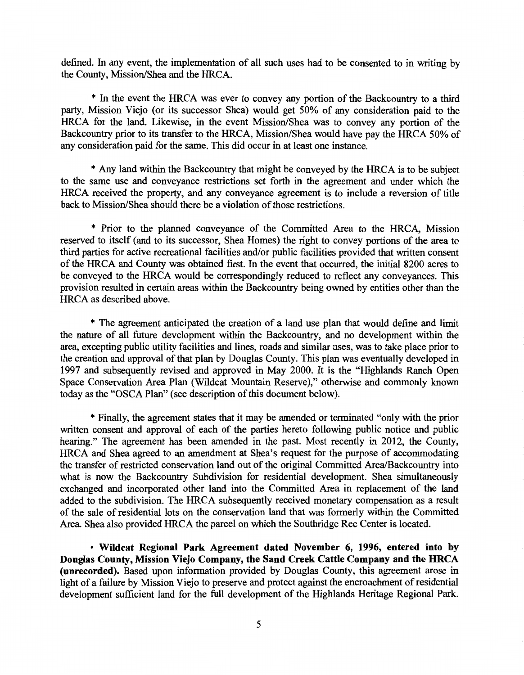defined. In any event, the implementation of all such uses had to be consented to in writing by the County, Mission/Shea and the HRCA.

\* In the event the HRCA was ever to convey any portion of the Backcountry to a third party, Mission Viejo (or its successor Shea) would get 50% of any consideration paid to the HRCA for the land. Likewise, in the event Mission/Shea was to convey any portion of the Backcountry prior to its transfer to the HRCA, Mission/Shea would have pay the HRCA 50% of any consideration paid for the same. This did occur in at least one instance.

\* Any land within the Backcountry that might be conveyed by the HRCA is to be subject to the same use and conveyance restrictions set forth in the agreement and under which the HRCA received the property, and any conveyance agreement is to include a reversion of title back to Mission/Shea should there be a violation of those restrictions.

\* Prior to the planned conveyance of the Committed Area to the HRCA, Mission reserved to itself (and to its successor, Shea Homes) the right to convey portions of the area to third parties for active recreational facilities and/or public facilities provided that written consent of the HRCA and County was obtained first. In the event that occurred, the initial 8200 acres to be conveyed to the HRCA would be correspondingly reduced to reflect any conveyances. This provision resulted in certain areas within the Backcountry being owned by entities other than the HRCA as described above.

\* The agreement anticipated the creation of a land use plan that would define and limit the nature of all future development within the Backcountry, and no development within the area, excepting public utility facilities and lines, roads and similar uses, was to take place prior to the creation and approval of that plan by Douglas County. This plan was eventually developed in 1997 and subsequently revised and approved in May 2000. It is the "Highlands Ranch Open Space Conservation Area Plan (Wildcat Mountain Reserve)," otherwise and commonly known today as the "OSCA Plan" (see description of this document below).

\*Finally, the agreement states that it may be amended or terminated "only with the prior written consent and approval of each of the parties hereto following public notice and public hearing." The agreement has been amended in the past. Most recently in 2012, the County, HRCA and Shea agreed to an amendment at Shea's request for the purpose of accommodating the transfer of restricted conservation land out of the original Committed Area/Backcountry into what is now the Backcountry Subdivision for residential development. Shea simultaneously exchanged and incorporated other land into the Committed Area in replacement of the land added to the subdivision. The HRCA subsequently received monetary compensation as a result of the sale of residential lots on the conservation land that was formerly within the Committed Area. Shea also provided HRCA the parcel on which the Southridge Rec Center is located.

• Wildcat Regional Park Agreement dated November 6, 1996, entered into by Douglas County, Mission Viejo Company, the Sand Creek Cattle Company and the HRCA (unrecorded). Based upon information provided by Douglas County, this agreement arose in light of a failure by Mission Viejo to preserve and protect against the encroachment of residential development sufficient land for the full development of the Highlands Heritage Regional Park.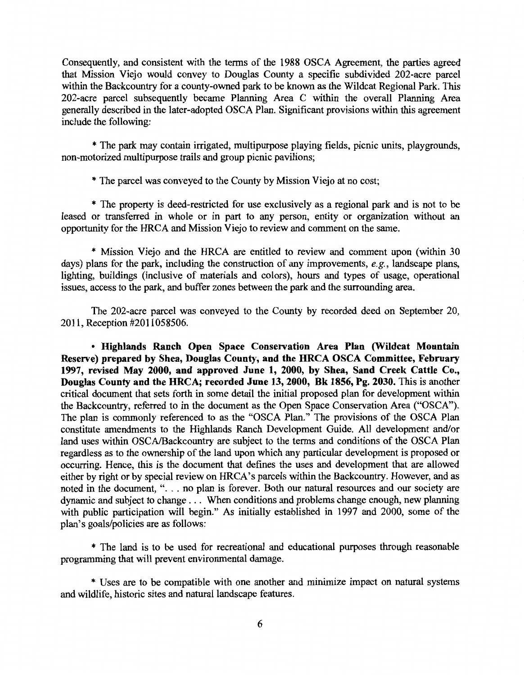Consequently, and consistent with the terms of the 1988 OSCA Agreement, the parties agreed that Mission Viejo would convey to Douglas County a specific subdivided 202-acre parcel within the Backcountry for a county-owned park to be known as the Wildcat Regional Park. This 202-acre parcel subsequently became Planning Area C within the overall Planning Area generally described in the later-adopted OSCA Plan. Significant provisions within this agreement include the following:

\* The park may contain irrigated, multipurpose playing fields, picnic units, playgrounds, non-motorized multipurpose trails and group picnic pavilions;

\* The parcel was conveyed to the County by Mission Viejo at no cost;

\* The property is deed-restricted for use exclusively as a regional park and is not to be leased or transferred in whole or in part to any person, entity or organization without an opportunity for the HRCA and Mission Viejo to review and comment on the same.

\* Mission Viejo and the HRCA are entitled to review and comment upon (within 30 days) plans for the park, including the construction of any improvements, *e.g.,* landscape plans, lighting, buildings (inclusive of materials and colors), hours and types of usage, operational issues, access to the park, and buffer zones between the park and the surrounding area.

The 202-acre parcel was conveyed to the County by recorded deed on September 20, 2011, Reception #2011058506.

• **Highlands Ranch Open Space Conservation Area Plan (Wildcat Mountain Reserve) prepared by Shea, Douglas County, and the HRCA OSCA Committee, February 1997, revised May 2000, and approved June 1, 2000, by Shea, Sand Creek Cattle Co., Douglas County and the HRCA; recorded June 13, 2000, Bk 1856, Pg. 2030.** This is another critical document that sets forth in some detail the initial proposed plan for development within the Backcountry, referred to in the document as the Open Space Conservation Area ("OSCA"). The plan is commonly referenced to as the "OSCA Plan." The provisions of the OSCA Plan constitute amendments to the Highlands Ranch Development Guide. All development and/or land uses within OSCA/Backcountry are subject to the terms and conditions of the OSCA Plan regardless as to the ownership of the land upon which any particular development is proposed or occurring. Hence, this is the document that defines the uses and development that are allowed either by right or by special review on HRCA's parcels within the Backcountry. However, and as noted in the document, ". . . no plan is forever. Both our natural resources and our society are dynamic and subject to change . . . When conditions and problems change enough, new planning with public participation will begin." As initially established in 1997 and 2000, some of the plan's goals/policies are as follows:

\* The land is to be used for recreational and educational purposes through reasonable programming that will prevent environmental damage.

\* Uses are to be compatible with one another and minimize impact on natural systems and wildlife, historic sites and natural landscape features.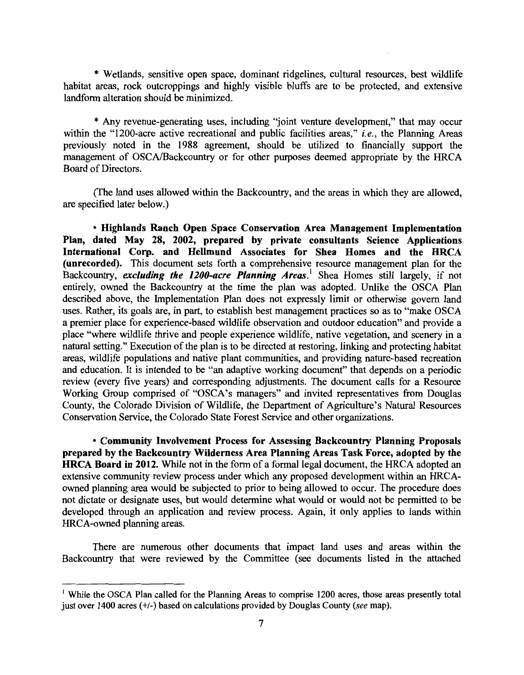\* Wetlands, sensitive open space, dominant ridgelines, cultural resources, best wildlife habitat areas, rock outcroppings and highly visible bluffs are to be protected, and extensive landform alteration should be minimized.

\* Any revenue-generating uses, including ''joint venture development," that may occur within the "1200-acre active recreational and public facilities areas," *i.e.,* the Planning Areas previously noted in the 1988 agreement, should be utilized to financially support the management of OSCA/Backcountry or for other purposes deemed appropriate by the HRCA Board of Directors.

(The land uses allowed within the Backcountry, and the areas in which they are allowed, are specified later below.)

• Highlands Ranch Open Space Conservation Area Management Implementation Plan, dated May 28, 2002, prepared by private consultants Science Applications International Corp. and Hellmund Associates for Shea Homes and the HRCA (unrecorded). This document sets forth a comprehensive resource management plan for the Backcountry, *excluding the 1200-acre Planning Areas*.<sup>1</sup> Shea Homes still largely, if not entirely, owned the Backcountry at the time the plan was adopted. Unlike the OSCA Plan described above, the Implementation Plan does not expressly limit or otherwise govern land uses. Rather, its goals are, in part, to establish best management practices so as to "make OSCA a premier place for experience-based wildlife observation and outdoor education" and provide a place "where wildlife thrive and people experience wildlife, native vegetation, and scenery in a natural setting." Execution of the plan is to be directed at restoring, linking and protecting habitat areas, wildlife populations and native plant communities, and providing nature-based recreation and education. It is intended to be "an adaptive working document" that depends on a periodic review (every five years) and corresponding adjustments. The document calls for a Resource Working Group comprised of "OSCA's managers" and invited representatives from Douglas County, the Colorado Division of Wildlife, the Department of Agriculture's Natural Resources Conservation Service, the Colorado State Forest Service and other organizations.

• Community Involvement Process for Assessing Backcountry Planning Proposals prepared by the Backcountry Wilderness Area Planning Areas Task Force, adopted by the HRCA Board in 2012. While not in the form of a formal legal document, the HRCA adopted an extensive community review process under which any proposed development within an HRCAowned planning area would be subjected to prior to being allowed to occur. The procedure does not dictate or designate uses, but would determine what would or would not be permitted to be developed through an application and review process. Again, it only applies to lands within HRCA-owned planning areas.

There are numerous other documents that impact land uses and areas within the Backcountry that were reviewed by the Committee (see documents listed in the attached

<sup>&</sup>lt;sup>1</sup> While the OSCA Plan called for the Planning Areas to comprise 1200 acres, those areas presently total just over 1400 acres(+/-) based on calculations provided by Douglas County *(see* map).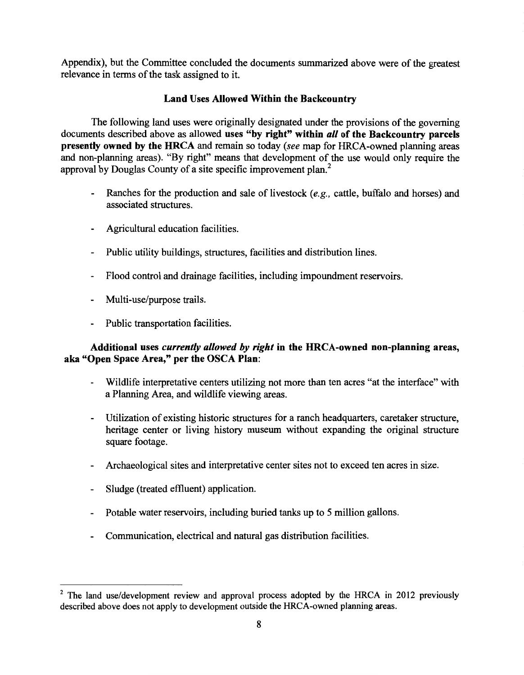Appendix), but the Committee concluded the documents summarized above were of the greatest relevance in terms of the task assigned to it.

## Land Uses Allowed Within the Backcountry

The following land uses were originally designated under the provisions of the governing documents described above as allowed uses "by right" within *all* of the Backcountry parcels presently owned by the HRCA and remain so today *(see* map for HRCA-owned planning areas and non-planning areas). "By right" means that development of the use would only require the approval by Douglas County of a site specific improvement plan. 2

- Ranches for the production and sale of livestock *(e.g.,* cattle, buffalo and horses) and associated structures.
- Agricultural education facilities.
- Public utility buildings, structures, facilities and distribution lines.
- Flood control and drainage facilities, including impoundment reservoirs.  $\sim$
- Multi-use/purpose trails.
- Public transportation facilities.

# Additional uses *currently allowed by right* in the HRCA-owned non-planning areas, aka "Open Space Area," per the OSCA Plan:

- Wildlife interpretative centers utilizing not more than ten acres "at the interface" with a Planning Area, and wildlife viewing areas.
- Utilization of existing historic structures for a ranch headquarters, caretaker structure, heritage center or living history museum without expanding the original structure square footage.
- Archaeological sites and interpretative center sites not to exceed ten acres in size.
- Sludge (treated effiuent) application.
- Potable water reservoirs, including buried tanks up to 5 million gallons.
- Communication, electrical and natural gas distribution facilities.

<sup>&</sup>lt;sup>2</sup> The land use/development review and approval process adopted by the HRCA in 2012 previously described above does not apply to development outside the HRCA-owned planning areas.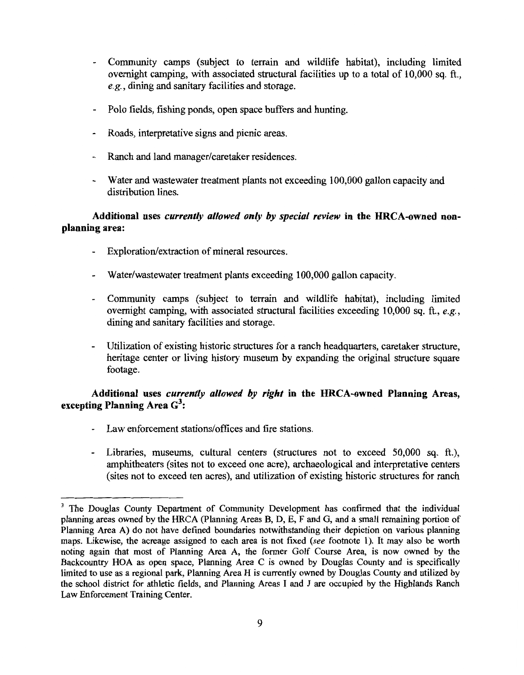- Community camps (subject to terrain and wildlife habitat), including limited overnight camping, with associated structural facilities up to a total of 10,000 sq. ft., *e.g.,* dining and sanitary facilities and storage.
- Polo fields, fishing ponds, open space buffers and hunting.
- Roads, interpretative signs and picnic areas.
- Ranch and land manager/caretaker residences.
- Water and wastewater treatment plants not exceeding 100,000 gallon capacity and distribution lines.

## Additional uses *currently allowed only by special review* in the HRCA-owned nonplanning area:

- Exploration/extraction of mineral resources.
- Water/wastewater treatment plants exceeding 100,000 gallon capacity.
- Community camps (subject to terrain and wildlife habitat), including limited overnight camping, with associated structural facilities exceeding 10,000 sq. ft., *e.g.,*  dining and sanitary facilities and storage.
- Utilization of existing historic structures for a ranch headquarters, caretaker structure, heritage center or living history museum by expanding the original structure square footage.

# Additional uses *currently allowed by right* in the HRCA-owned Planning Areas, excepting Planning Area  $\textbf{G}^3$ :

- Law enforcement stations/offices and fire stations.
- Libraries, museums, cultural centers (structures not to exceed 50,000 sq. ft.), amphitheaters (sites not to exceed one acre), archaeological and interpretative centers (sites not to exceed ten acres), and utilization of existing historic structures for ranch

<sup>&</sup>lt;sup>3</sup> The Douglas County Department of Community Development has confirmed that the individual planning areas owned by the HRCA (Planning Areas B, D, E, F and G, and a small remaining portion of Planning Area A) do not have defined boundaries notwithstanding their depiction on various planning maps. Likewise, the acreage assigned to each area is not fixed *(see footnote 1)*. It may also be worth noting again that most of Planning Area A, the former Golf Course Area, is now owned by the Backcountry HOA as open space, Planning Area C is owned by Douglas County and is specifically limited to use as a regional park, Planning Area H is currently owned by Douglas County and utilized by the school district for athletic fields, and Planning Areas I and J are occupied by the Highlands Ranch Law Enforcement Training Center.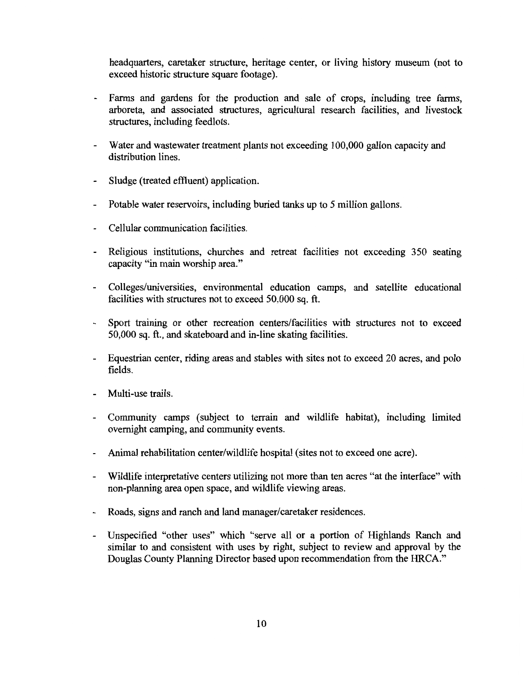headquarters, caretaker structure, heritage center, or living history museum (not to exceed historic structure square footage).

- Farms and gardens for the production and sale of crops, including tree farms, arboreta, and associated structures, agricultural research facilities, and livestock structures, including feedlots.
- Water and wastewater treatment plants not exceeding 100,000 gallon capacity and distribution lines.
- Sludge (treated effluent) application.
- Potable water reservoirs, including buried tanks up to 5 million gallons.  $\overline{\phantom{a}}$
- Cellular communication facilities.
- Religious institutions, churches and retreat facilities not exceeding 350 seating capacity "in main worship area."
- Colleges/universities, environmental education camps, and satellite educational facilities with structures not to exceed 50,000 sq. ft.
- $\mathcal{L}^{\text{max}}$ Sport training or other recreation centers/facilities with structures not to exceed 50,000 sq. ft., and skateboard and in-line skating facilities.
- Equestrian center, riding areas and stables with sites not to exceed 20 acres, and polo  $\blacksquare$ fields.
- Multi-use trails.
- Community camps (subject to terrain and wildlife habitat), including limited overnight camping, and community events.
- Animal rehabilitation center/wildlife hospital (sites not to exceed one acre).
- Wildlife interpretative centers utilizing not more than ten acres "at the interface" with non-planning area open space, and wildlife viewing areas.
- Roads, signs and ranch and land manager/caretaker residences.
- Unspecified "other uses" which "serve all or a portion of Highlands Ranch and similar to and consistent with uses by right, subject to review and approval by the Douglas County Planning Director based upon recommendation from the HRCA."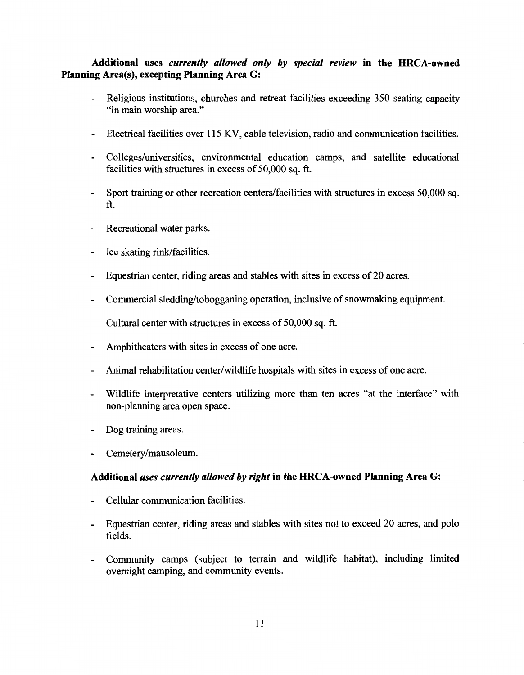# Additional uses *currently allowed only by special review* in the HRCA-owned Planning Area(s), excepting Planning Area G:

- Religious institutions, churches and retreat facilities exceeding 350 seating capacity "in main worship area."
- Electrical facilities over 115 KV, cable television, radio and communication facilities.
- Colleges/universities, environmental education camps, and satellite educational facilities with structures in excess of 50,000 sq. ft.
- Sport training or other recreation centers/facilities with structures in excess 50,000 sq. ft.
- Recreational water parks.
- Ice skating rink/facilities.
- Equestrian center, riding areas and stables with sites in excess of 20 acres.
- Commercial sledding/tobogganing operation, inclusive of snowmaking equipment.
- Cultural center with structures in excess of 50,000 sq. ft.
- Amphitheaters with sites in excess of one acre.
- Animal rehabilitation center/wildlife hospitals with sites in excess of one acre.
- Wildlife interpretative centers utilizing more than ten acres "at the interface" with non-planning area open space.
- Dog training areas.
- Cemetery/mausoleum.

### Additional *uses currently allowed by right* in the HRCA-owned Planning Area G:

- Cellular communication facilities.
- Equestrian center, riding areas and stables with sites not to exceed 20 acres, and polo  $\blacksquare$ fields.
- Community camps (subject to terrain and wildlife habitat), including limited overnight camping, and community events.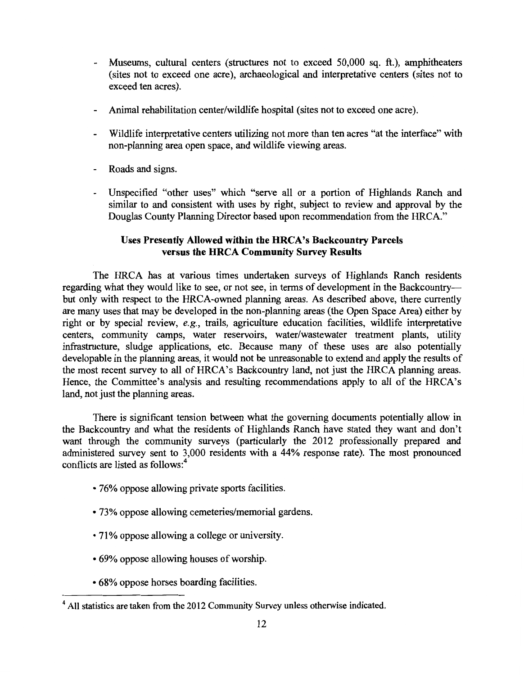- Museums, cultural centers (structures not to exceed 50,000 sq. ft.), amphitheaters (sites not to exceed one acre), archaeological and interpretative centers (sites not to exceed ten acres).
- Animal rehabilitation center/wildlife hospital (sites not to exceed one acre).  $\overline{\phantom{a}}$
- Wildlife interpretative centers utilizing not more than ten acres "at the interface" with non-planning area open space, and wildlife viewing areas.
- Roads and signs.
- Unspecified "other uses" which "serve all or a portion of Highlands Ranch and similar to and consistent with uses by right, subject to review and approval by the Douglas County Planning Director based upon recommendation from the HRCA."

## Uses Presently Allowed within the HRCA's Backcountry Parcels versus the HRCA Community Survey Results

The HRCA has at various times undertaken surveys of Highlands Ranch residents regarding what they would like to see, or not see, in terms of development in the Backcountrybut only with respect to the HRCA-owned planning areas. As described above, there currently are many uses that may be developed in the non-planning areas (the Open Space Area) either by right or by special review, *e.g.,* trails, agriculture education facilities, wildlife interpretative centers, community camps, water reservoirs, water/wastewater treatment plants, utility infrastructure, sludge applications, etc. Because many of these uses are also potentially developable in the planning areas, it would not be unreasonable to extend and apply the results of the most recent survey to all of HRCA's Backcountry land, not just the HRCA planning areas. Hence, the Committee's analysis and resulting recommendations apply to all of the HRCA's land, not just the planning areas.

There is significant tension between what the governing documents potentially allow in the Backcountry and what the residents of Highlands Ranch have stated they want and don't want through the community surveys (particularly the 2012 professionally prepared and administered survey sent to 3,000 residents with a 44% response rate). The most pronounced conflicts are listed as follows: <sup>4</sup>

- 76% oppose allowing private sports facilities.
- 73% oppose allowing cemeteries/memorial gardens.
- 71 % oppose allowing a college or university.
- 69% oppose allowing houses of worship.
- 68% oppose horses boarding facilities.

<sup>4</sup> All statistics are taken from the 2012 Community Survey unless otherwise indicated.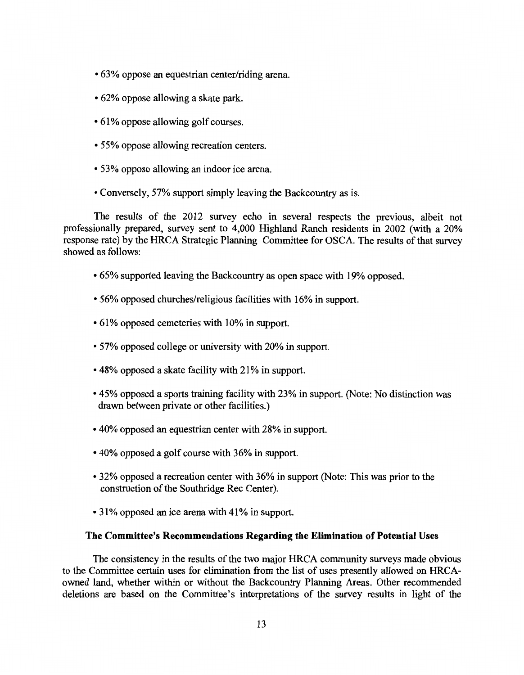- 63% oppose an equestrian center/riding arena.
- 62% oppose allowing a skate park.
- 61% oppose allowing golf courses.
- 55% oppose allowing recreation centers.
- 53% oppose allowing an indoor ice arena.
- •Conversely, 57% support simply leaving the Backcountry as is.

The results of the 2012 survey echo in several respects the previous, albeit not professionally prepared, survey sent to 4,000 Highland Ranch residents in 2002 (with a 20% response rate) by the HRCA Strategic Planning Committee for OSCA. The results of that survey showed as follows:

- 65% supported leaving the Backcountry as open space with 19% opposed.
- 56% opposed churches/religious facilities with 16% in support.
- 61% opposed cemeteries with 10% in support.
- 57% opposed college or university with 20% in support.
- 48% opposed a skate facility with 21% in support.
- 45% opposed a sports training facility with 23% in support. (Note: No distinction was drawn between private or other facilities.)
- 40% opposed an equestrian center with 28% in support.
- 40% opposed a golf course with 36% in support.
- 32% opposed a recreation center with 36% in support (Note: This was prior to the construction of the Southridge Rec Center).
- 31% opposed an ice arena with 41% in support.

### **The Committee's Recommendations Regarding the Elimination of Potential** Uses

The consistency in the results of the two major HRCA community surveys made obvious to the Committee certain uses for elimination from the list of uses presently allowed on HRCAowned land, whether within or without the Backcountry Planning Areas. Other recommended deletions are based on the Committee's interpretations of the survey results in light of the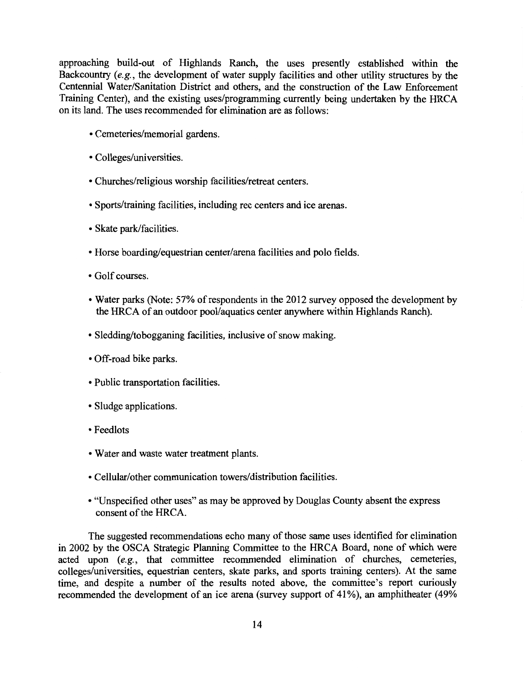approaching build-out of Highlands Ranch, the uses presently established within the Backcountry *(e.g.,* the development of water supply facilities and other utility structures by the Centennial Water/Sanitation District and others, and the construction of the Law Enforcement Training Center), and the existing uses/programming currently being undertaken by the HRCA on its land. The uses recommended for elimination are as follows:

- Cemeteries/memorial gardens.
- Colleges/universities.
- Churches/religious worship facilities/retreat centers.
- •Sports/training facilities, including rec centers and ice arenas.
- Skate park/facilities.
- Horse boarding/equestrian center/arena facilities and polo fields.
- Golf courses.
- •Water parks (Note: 57% of respondents in the 2012 survey opposed the development by the HRCA of an outdoor pool/aquatics center anywhere within Highlands Ranch).
- Sledding/tobogganing facilities, inclusive of snow making.
- Off-road bike parks.
- Public transportation facilities.
- Sludge applications.
- •Feedlots
- Water and waste water treatment plants.
- Cellular/other communication towers/distribution facilities.
- "Unspecified other uses" as may be approved by Douglas County absent the express consent of the HRCA.

The suggested recommendations echo many of those same uses identified for elimination in 2002 by the OSCA Strategic Planning Committee to the HRCA Board, none of which were acted upon *(e.g.,* that committee recommended elimination of churches, cemeteries, colleges/universities, equestrian centers, skate parks, and sports training centers). At the same time, and despite a number of the results noted above, the committee's report curiously recommended the development of an ice arena (survey support of 41%), an amphitheater (49%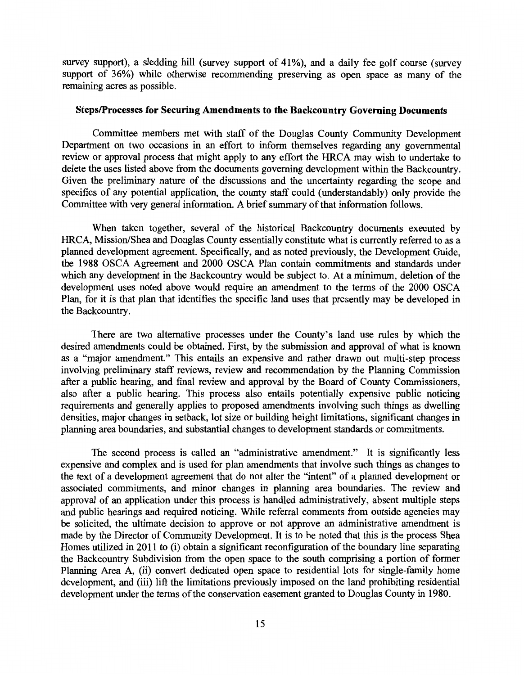survey support), a sledding hill (survey support of 41%), and a daily fee golf course (survey support of 36%) while otherwise recommending preserving as open space as many of the remaining acres as possible.

### Steps/Processes for Securing Amendments to the Backcountry Governing Documents

Committee members met with staff of the Douglas County Community Development Department on two occasions in an effort to inform themselves regarding any governmental review or approval process that might apply to any effort the HRCA may wish to undertake to delete the uses listed above from the documents governing development within the Backcountry. Given the preliminary nature of the discussions and the uncertainty regarding the scope and specifics of any potential application, the county staff could (understandably) only provide the Committee with very general information. A brief summary of that information follows.

When taken together, several of the historical Backcountry documents executed by HRCA, Mission/Shea and Douglas County essentially constitute what is currently referred to as a planned development agreement. Specifically, and as noted previously, the Development Guide, the 1988 OSCA Agreement and 2000 OSCA Plan contain commitments and standards under which any development in the Backcountry would be subject to. At a minimum, deletion of the development uses noted above would require an amendment to the terms of the 2000 OSCA Plan, for it is that plan that identifies the specific land uses that presently may be developed in the Backcountry.

There are two alternative processes under the County's land use rules by which the desired amendments could be obtained. First, by the submission and approval of what is known as a "major amendment." This entails an expensive and rather drawn out multi-step process involving preliminary staff reviews, review and recommendation by the Planning Commission after a public hearing, and final review and approval by the Board of County Commissioners, also after a public hearing. This process also entails potentially expensive public noticing requirements and generally applies to proposed amendments involving such things as dwelling densities, major changes in setback, lot size or building height limitations, significant changes in planning area boundaries, and substantial changes to development standards or commitments.

The second process is called an "administrative amendment." It is significantly less expensive and complex and is used for plan amendments that involve such things as changes to the text of a development agreement that do not alter the "intent" of a planned development or associated commitments, and minor changes in planning area boundaries. The review and approval of an application under this process is handled administratively, absent multiple steps and public hearings and required noticing. While referral comments from outside agencies may be solicited, the ultimate decision to approve or not approve an administrative amendment is made by the Director of Community Development. It is to be noted that this is the process Shea Homes utilized in 2011 to (i) obtain a significant reconfiguration of the boundary line separating the Backcountry Subdivision from the open space to the south comprising a portion of former Planning Area A, (ii) convert dedicated open space to residential lots for single-family home development, and (iii) lift the limitations previously imposed on the land prohibiting residential development under the terms of the conservation easement granted to Douglas County in 1980.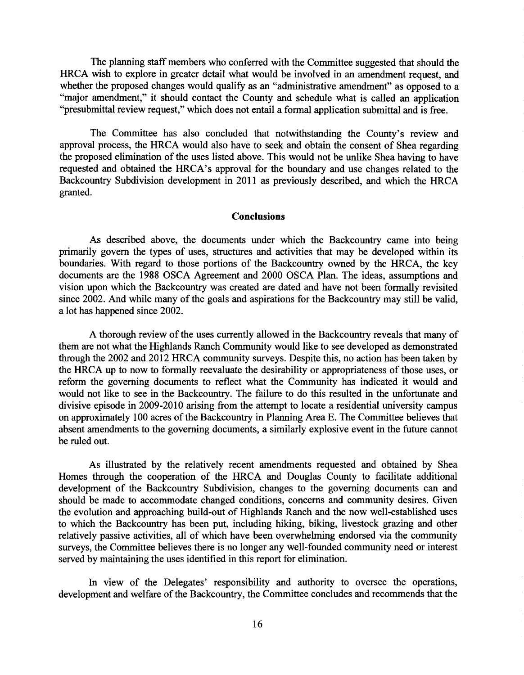The planning staff members who conferred with the Committee suggested that should the HRCA wish to explore in greater detail what would be involved in an amendment request, and whether the proposed changes would qualify as an "administrative amendment" as opposed to a "major amendment," it should contact the County and schedule what is called an application "presubmittal review request," which does not entail a formal application submittal and is free.

The Committee has also concluded that notwithstanding the County's review and approval process, the HRCA would also have to seek and obtain the consent of Shea regarding the proposed elimination of the uses listed above. This would not be unlike Shea having to have requested and obtained the HRCA's approval for the boundary and use changes related to the Backcountry Subdivision development in 2011 as previously described, and which the HRCA granted.

### **Conclusions**

As described above, the documents under which the Backcountry came into being primarily govern the types of uses, structures and activities that may be developed within its boundaries. With regard to those portions of the Backcountry owned by the HRCA, the key documents are the 1988 OSCA Agreement and 2000 OSCA Plan. The ideas, assumptions and vision upon which the Backcountry was created are dated and have not been formally revisited since 2002. And while many of the goals and aspirations for the Backcountry may still be valid, a lot has happened since 2002.

A thorough review of the uses currently allowed in the Backcountry reveals that many of them are not what the Highlands Ranch Community would like to see developed as demonstrated through the 2002 and 2012 HRCA community surveys. Despite this, no action has been taken by the HRCA up to now to formally reevaluate the desirability or appropriateness of those uses, or reform the governing documents to reflect what the Community has indicated it would and would not like to see in the Backcountry. The failure to do this resulted in the unfortunate and divisive episode in 2009-2010 arising from the attempt to locate a residential university campus on approximately 100 acres of the Backcountry in Planning Area E. The Committee believes that absent amendments to the governing documents, a similarly explosive event in the future cannot be ruled out.

As illustrated by the relatively recent amendments requested and obtained by Shea Homes through the cooperation of the HRCA and Douglas County to facilitate additional development of the Backcountry Subdivision, changes to the governing documents can and should be made to accommodate changed conditions, concerns and community desires. Given the evolution and approaching build-out of Highlands Ranch and the now well-established uses to which the Backcountry has been put, including hiking, biking, livestock grazing and other relatively passive activities, all of which have been overwhelming endorsed via the community surveys, the Committee believes there is no longer any well-founded community need or interest served by maintaining the uses identified in this report for elimination.

In view of the Delegates' responsibility and authority to oversee the operations, development and welfare of the Backcountry, the Committee concludes and recommends that the